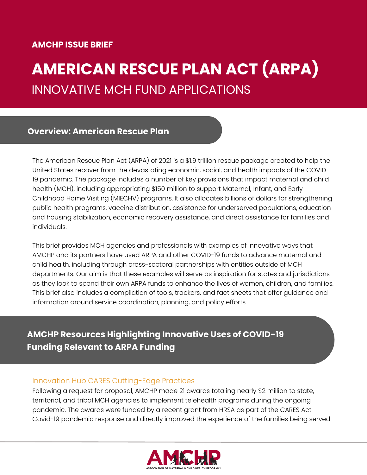## **AMCHP ISSUE BRIEF**

**Act**

# **AMERICAN RESCUE PLAN ACT (ARPA)** INNOVATIVE MCH FUND APPLICATIONS

## **Overview: American Rescue Plan**

The American Rescue Plan Act (ARPA) of 2021 is a \$1.9 trillion rescue package created to help the United States recover from the devastating economic, social, and health impacts of the COVID-19 pandemic. The package includes a number of key provisions that impact maternal and child health (MCH), including appropriating \$150 million to support Maternal, Infant, and Early Childhood Home Visiting (MIECHV) programs. It also allocates billions of dollars for strengthening public health programs, vaccine distribution, assistance for underserved populations, education and housing stabilization, economic recovery assistance, and direct assistance for families and individuals.

This brief provides MCH agencies and professionals with examples of innovative ways that AMCHP and its partners have used ARPA and other COVID-19 funds to advance maternal and child health, including through cross-sectoral partnerships with entities outside of MCH departments. Our aim is that these examples will serve as inspiration for states and jurisdictions as they look to spend their own ARPA funds to enhance the lives of women, children, and families. This brief also includes a compilation of tools, trackers, and fact sheets that offer guidance and information around service coordination, planning, and policy efforts.

## **AMCHP Resources Highlighting Innovative Uses of COVID-19 Funding Relevant to ARPA Funding**

#### Innovation Hub CARES Cutting-Edge Practices

Following a request for proposal, AMCHP made 21 awards totaling nearly \$2 million to state, territorial, and tribal MCH agencies to implement telehealth programs during the ongoing pandemic. The awards were funded by a recent grant from HRSA as part of the CARES Act Covid-19 pandemic response and directly improved the experience of the families being served

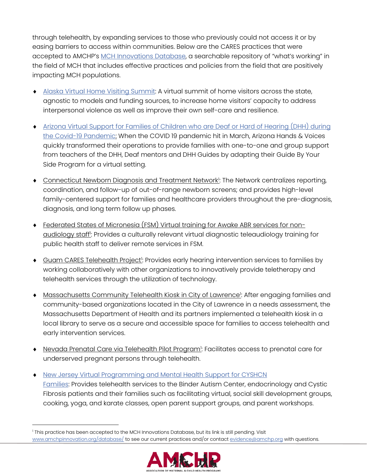through telehealth, by expanding services to those who previously could not access it or by easing barriers to access within communities. Below are the CARES practices that were accepted to AMCHP's [MCH Innovations Database,](https://www.amchpinnovation.org/database/) a searchable repository of "what's working" in the field of MCH that includes effective practices and policies from the field that are positively impacting MCH populations.

- [Alaska Virtual Home Visiting Summit:](https://www.amchpinnovation.org/database-entry/alaska-home-visiting-summit/) A virtual summit of home visitors across the state, agnostic to models and funding sources, to increase home visitors' capacity to address interpersonal violence as well as improve their own self-care and resilience.
- [Arizona Virtual Support for Families of Children who are Deaf or Hard of Hearing \(DHH\) during](https://www.amchpinnovation.org/database-entry/virtual-support-for-families-of-children-who-are-deaf-or-hard-of-hearing-dhh-during-the-covid-19-pandemic/)  [the Covid-19 Pandemic:](https://www.amchpinnovation.org/database-entry/virtual-support-for-families-of-children-who-are-deaf-or-hard-of-hearing-dhh-during-the-covid-19-pandemic/) When the COVID 19 pandemic hit in March, Arizona Hands & Voices quickly transformed their operations to provide families with one-to-one and group support from teachers of the DHH, Deaf mentors and DHH Guides by adapting their Guide By Your Side Program for a virtual setting.
- **Connecticut Newborn Diagnosis and Treatment Network**: The Network centralizes reporting, coordination, and follow-up of out-of-range newborn screens; and provides high-level family-centered support for families and healthcare providers throughout the pre-diagnosis, diagnosis, and long term follow up phases.
- Federated States of Micronesia (FSM) Virtual training for Awake ABR services for non-<u>audiology staff<sup>i</sup>:</u> Provides a culturally relevant virtual diagnostic teleaudiology training for public health staff to deliver remote services in FSM.
- ◆ Guam CARES Telehealth Project<sup>1</sup>: Provides early hearing intervention services to families by working collaboratively with other organizations to innovatively provide teletherapy and telehealth services through the utilization of technology.
- $\bullet$  Massachusetts Community Telehealth Kiosk in City of Lawrence!: After engaging families and community-based organizations located in the City of Lawrence in a needs assessment, the Massachusetts Department of Health and its partners implemented a telehealth kiosk in a local library to serve as a secure and accessible space for families to access telehealth and early intervention services.
- $\bullet$  Nevada Prenatal Care via Telehealth Pilot Program!: Facilitates access to prenatal care for underserved pregnant persons through telehealth.
- [New Jersey Virtual Programming and Mental Health Support for CYSHCN](https://www.amchpinnovation.org/database-entry/virtual-programming-and-mental-health-support-for-cyshcn-families/)  [Families:](https://www.amchpinnovation.org/database-entry/virtual-programming-and-mental-health-support-for-cyshcn-families/) Provides telehealth services to the Binder Autism Center, endocrinology and Cystic Fibrosis patients and their families such as facilitating virtual, social skill development groups, cooking, yoga, and karate classes, open parent support groups, and parent workshops.

<sup>&</sup>lt;sup>1</sup> This practice has been accepted to the MCH Innovations Database, but its link is still pending. Visit [www.amchpinnovation.org/database/](http://www.amchpinnovation.org/database/) to see our current practices and/or contac[t evidence@amchp.org](mailto:evidence@amchp.org) with questions.

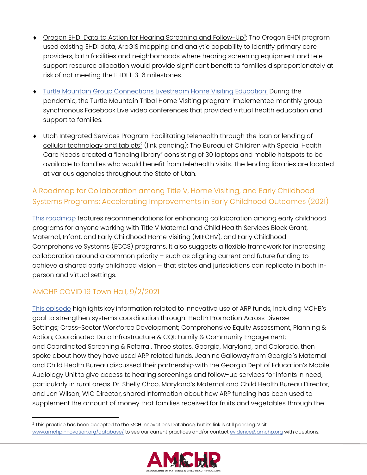- Oregon EHDI Data to Action for Hearing Screening and Follow-Up<sup>2</sup>: The Oregon EHDI program used existing EHDI data, ArcGIS mapping and analytic capability to identify primary care providers, birth facilities and neighborhoods where hearing screening equipment and telesupport resource allocation would provide significant benefit to families disproportionately at risk of not meeting the EHDI 1-3-6 milestones.
- **Turtle Mountain [Group Connections Livestream Home Visiting Education:](https://www.amchpinnovation.org/database-entry/group-connections-livestream-home-visiting-education/) During the** pandemic, the Turtle Mountain Tribal Home Visiting program implemented monthly group synchronous Facebook Live video conferences that provided virtual health education and support to families.
- Utah Integrated Services Program: Facilitating telehealth through the loan or lending of <u>cellular technology and tablets<sup>2</sup></u> (link pending): The Bureau of Children with Special Health . Care Needs created a "lending library" consisting of 30 laptops and mobile hotspots to be available to families who would benefit from telehealth visits. The lending libraries are located at various agencies throughout the State of Utah.

## A Roadmap for Collaboration among Title V, Home Visiting, and Early Childhood Systems Programs: Accelerating Improvements in Early Childhood Outcomes (2021)

This [roadmap](https://bit.ly/AMCHPRoadmapV2) features recommendations for enhancing collaboration among early childhood programs for anyone working with Title V Maternal and Child Health Services Block Grant, Maternal, Infant, and Early Childhood Home Visiting (MIECHV), and Early Childhood Comprehensive Systems (ECCS) programs. It also suggests a flexible framework for increasing collaboration around a common priority – such as aligning current and future funding to achieve a shared early childhood vision – that states and jurisdictions can replicate in both inperson and virtual settings.

## AMCHP COVID 19 Town Hall, 9/2/2021

[This episode](https://www.youtube.com/watch?v=65JrJnLNZj8) highlights key information related to innovative use of ARP funds, including MCHB's goal to strengthen systems coordination through: Health Promotion Across Diverse Settings; Cross-Sector Workforce Development; Comprehensive Equity Assessment, Planning & Action; Coordinated Data Infrastructure & CQI; Family & Community Engagement; and Coordinated Screening & Referral. Three states, Georgia, Maryland, and Colorado, then spoke about how they have used ARP related funds. Jeanine Galloway from Georgia's Maternal and Child Health Bureau discussed their partnership with the Georgia Dept of Education's Mobile Audiology Unit to give access to hearing screenings and follow-up services for infants in need, particularly in rural areas. Dr. Shelly Choo, Maryland's Maternal and Child Health Bureau Director, and Jen Wilson, WIC Director, shared information about how ARP funding has been used to supplement the amount of money that families received for fruits and vegetables through the

<sup>&</sup>lt;sup>2</sup> This practice has been accepted to the MCH Innovations Database, but its link is still pending. Visit [www.amchpinnovation.org/database/](http://www.amchpinnovation.org/database/) to see our current practices and/or contac[t evidence@amchp.org](mailto:evidence@amchp.org) with questions.

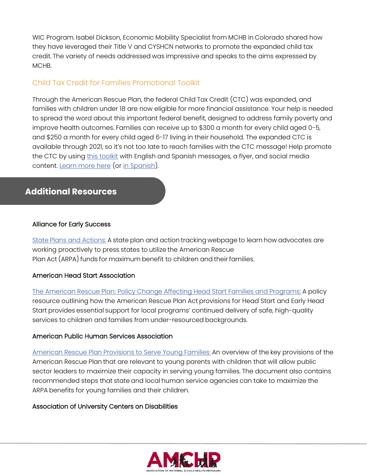WIC Program. Isabel Dickson, Economic Mobility Specialist from MCHB in Colorado shared how they have leveraged their Title V and CYSHCN networks to promote the expanded child tax credit. The variety of needs addressed was impressive and speaks to the aims expressed by MCHB.

### Child Tax Credit for Families Promotional Toolkit

Through the American Rescue Plan, the federal Child Tax Credit (CTC) was expanded, and families with children under 18 are now eligible for more financial assistance. Your help is needed to spread the word about this important federal benefit, designed to address family poverty and improve health outcomes. Families can receive up to \$300 a month for every child aged 0-5, and \$250 a month for every child aged 6-17 living in their household. The expanded CTC is available through 2021, so it's not too late to reach families with the CTC message! Help promote the CTC by using [this toolkit](https://drive.google.com/drive/folders/1FoF7mWzCpV8Z0K6tasWeLjk1vu2ybQaX) with English and Spanish messages, a flyer, and social media content. [Learn more here](http://getctc.org/co) (or [in Spanish\)](http://getctc.org/es/co).

## **Additional Resources**

#### Alliance for Early Success

State [Plans and Actions:](https://earlysuccess.org/resource-centers/state-rescue-and-relief-strategies/state-plans-and-actions/) A state plan and action tracking webpage to learn how advocates are working proactively to press states to utilize the American Rescue Plan Act (ARPA) funds for maximum benefit to children and their families.

#### American Head Start Association

[The American Rescue Plan: Policy Change Affecting Head Start Families and Programs:](https://www.nhsa.org/wp-content/uploads/2021/03/The-American-Rescue-Plan-Head-Start.pdf) A policy resource outlining how the American Rescue Plan Act provisions for Head Start and Early Head Start provides essential support for local programs' continued delivery of safe, high-quality services to children and families from under-resourced backgrounds.

#### American Public Human Services Association

[American Rescue Plan Provisions to Serve Young Families:](https://aecfcraftstr01.blob.core.windows.net/aecfcraftblob02/m/blogdoc/aphsa-arpprovisionstoserve-2121.pdf) An overview of the key provisions of the American Rescue Plan that are relevant to young parents with children that will allow public sector leaders to maximize their capacity in serving young families. The document also contains recommended steps that state and local human service agencies can take to maximize the ARPA benefits for young families and their children.

#### Association of University Centers on Disabilities

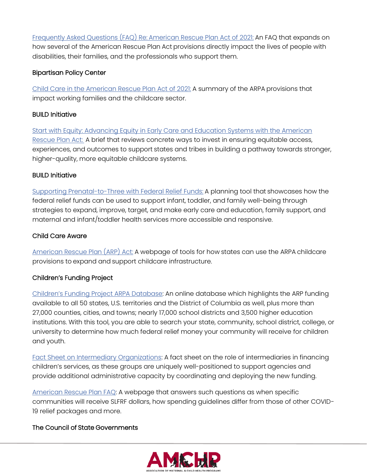[Frequently Asked Questions \(FAQ\) Re:](https://www.aucd.org/docs/FAQ_American%20Rescue%20Plan_AUCD_5.14.21.pdf) American Rescue Plan Act of 2021: An FAQ that expands on how several of the American Rescue Plan Act provisions directly impact the lives of people with disabilities, their families, and the professionals who support them.

#### Bipartisan Policy Center

[Child Care in the American Rescue Plan Act of 2021:](https://bipartisanpolicy.org/download/?file=/wp-content/uploads/2021/03/Summary-of-ARP_-3.24.21_FINAL.pdf) A summary of the ARPA provisions that impact working families and the childcare sector.  

#### BUILD Initiative

[Start with Equity: Advancing Equity in Early Care and Education Systems with the American](https://buildinitiative.org/wp-content/uploads/2021/07/CEP-equityARP-052821.pdf)  [Rescue Plan Act:](https://buildinitiative.org/wp-content/uploads/2021/07/CEP-equityARP-052821.pdf) A brief that reviews concrete ways to invest in ensuring equitable access, experiences, and outcomes to support states and tribes in building a pathway towards stronger, higher-quality, more equitable childcare systems.

#### BUILD Initiative

[Supporting Prenatal-to-Three with Federal Relief Funds:](https://buildinitiative.org/wp-content/uploads/2021/08/BUILD_Federal-Relief-Funds_08-19-21.pdf) A planning tool that showcases how the federal relief funds can be used to support infant, toddler, and family well-being through strategies to expand, improve, target, and make early care and education, family support, and maternal and infant/toddler health services more accessible and responsive.

#### Child Care Aware

[American Rescue Plan \(ARP\) Act:](https://www.childcareaware.org/our-issues/public-policy/american-rescue-plan-arp-act/) A webpage of tools for how states can use the ARPA childcare provisions to expand and support childcare infrastructure.

#### Children's Funding Project

[Children's Funding Proj](https://cgfkj04.na1.hubspotlinks.com/Btc/GD+113/cGFkJ04/VWnKfw3xzdZQW27Ln3C3Lmr6pW3kyKQV4zrNlKN1k24YX5nKwVV3Zsc37CgKs3N5wpn9YDDJKQW76x1yb4mPkgWW7RF61j2JnsjTW5wFMp-66YPZjW3CPyNq6LSkW2W5t2QzR7R8lrbV4DtDZ6LSvtmVfp__J40G4bCW7czfCw94MP8LW3J1Ppd4FzTbpW8TBbPx4Z5y6lW3q3vFp3_lK0nW6jWHgb5kpwGvW6nFS3199zGSXW4w2LVq5mMG9TVVWS8V8H9D86W458n_G4jbptDW8V4Wj97sPsTJW6gRhp-1HfHlfW38LnVw5JK21WW6J0TQM4Mw1VCW3lgJ4l5wqpqmN93RJKG_H7sDW4svS8X458WvxW6LBVl52HJnDjN4zSq95frb4lW4bflCY5SXQhbVxQQcq7DwDYHW3xGfJ73yjnxLW9fZ5sr2K3j4LW4yDnpD2_fjz5W3lPdhb35n99rW4rDtJ0481WJwW1W0Z2k5yRChmVTNmcZ8n7CB1W39Cl1m2ytM2ZW9dxr1s78ydCrW3HvHZT6RGxglW5fJPg24gQ6vnN1p1Cx4ftcvmW2GRDXl21RGHvMyWdC5qxqJ4W6MNs_q29lyHgW1KHkSs5f3pQZ36JZ1)ect ARPA Database: An online database which highlights the ARP funding available to all 50 states, U.S. territories and the District of Columbia as well, plus more than 27,000 counties, cities, and towns; nearly 17,000 school districts and 3,500 higher education institutions. With this tool, you are able to search your state, community, school district, college, or university to determine how much federal relief money your community will receive for children and youth.

[Fact Sheet on Intermediary Organizations:](https://cgfkj04.na1.hubspotlinks.com/Btc/GD+113/cGFkJ04/VWnKfw3xzdZQW27Ln3C3Lmr6pW3kyKQV4zrNlKN1k24XL5nKvJV3Zsc37CgTclVqYxL02qRr2XW6tTy6l4SqJc7W4LWNxp7JtNBDW7SSScm6kMtcyVS3qwx2Sm_15W91JGTg4Bv4nKW7jpwTV6DrVlSW8-rtGY5J_FgbW4VGK111NWc4dW58fQxz5C1V6qV5K_mZ7RsRrYW26sf7568r3dKW987Zjg4f5VGTW34bqBd5L8KGtW4QbB-Q6BRTpcW4-1srM1pMF3lW42W1698d3x2wVR4dgV2dxb0RW2V2sJ-8tmss_W10rTCf2s-PRlW1FgMvP2sqQj4N62rV-RQwGT9VCH5Y05KtV5CW83YMXq431wxGW5q7Wsn6PgHVtW632KbC6wpdK8W83lz8N81TY-mW4gmThJ6GRx2rW5__w5C2w4vMLVdnB883YDy69W5NbwZB1GTtFHW1c33Hj6rz00WN3vztGTBvlDKW3Nbsrq5FMw1jW3F3X783YQxJ5W6D4gL11NvxYw316H1) A fact sheet on the role of intermediaries in financing children's services, as these groups are uniquely well-positioned to support agencies and provide additional administrative capacity by coordinating and deploying the new funding.

[American Rescue Plan FAQ:](https://cgfkj04.na1.hubspotlinks.com/Btc/GD+113/cGFkJ04/VWnKfw3xzdZQW27Ln3C3Lmr6pW3kyKQV4zrNlKN1k24Zc3q90_V1-WJV7CgH61W2CgSQV4h50FPW2l3KDy6gcJWZW4W22L387n8W6N8hLFyCQYFG4W7QfCP62VcBX1VnjXQy8VwDSpMrPNwCt91_dVnSkvL5TFp_BW3g89m54Jq7jhW2s4sYV2_RfqbW5YWF9Z2Tb-C1W2f5LKv5SFklTW9lQrrk7NL12jW4ZbFMD5fhPt9W7b-rYP1XLQk2W3D5_8h2c_Lz8W8K4DVt4_fQLNW3y51vX2flVT_W86DJPp2_1b0vW1sFyQX7Y2_rlW18dwBR1Mc5XrW8hZfWJ6NrWvqW685ZHX7j05bfW7bzy-04-9V2VW38V5vs27HF8kW2bRzqS5FPxv0W5_pnfq1Mmhn1W4gVvHY8dR6FrW6FYmZL8yV3-1VspQw58TkQlz3kYm1) A webpage that answers such questions as when specific communities will receive SLFRF dollars, how spending guidelines differ from those of other COVID-19 relief packages and more.

#### The Council of State Governments

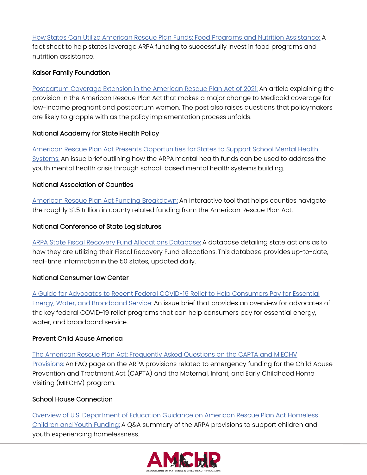How [States Can Utilize American Rescue Plan Funds: Food Programs and Nutrition Assistance:](https://web.csg.org/recovery/wp-content/uploads/sites/24/2021/05/Analysis-of-the-American-Rescue-Plan-Nutrition-Assistance.pdf) A fact sheet to help states leverage ARPA funding to successfully invest in food programs and nutrition assistance.

#### Kaiser Family Foundation

[Postpartum Coverage Extension in the American Rescue Plan Act of 2021:](https://www.kff.org/policy-watch/postpartum-coverage-extension-in-the-american-rescue-plan-act-of-2021/) An article explaining the provision in the American Rescue Plan Act that makes a major change to Medicaid coverage for low-income pregnant and postpartum women. The post also raises questions that policymakers are likely to grapple with as the policy implementation process unfolds.

#### National Academy for State Health Policy

[American Rescue Plan Act Presents Opportunities for](https://www.nashp.org/american-rescue-plan-act-presents-opportunities-for-states-to-support-school-mental-health-systems/) States to Support School Mental Health [Systems:](https://www.nashp.org/american-rescue-plan-act-presents-opportunities-for-states-to-support-school-mental-health-systems/) An issue brief outlining how the ARPA mental health funds can be used to address the youth mental health crisis through school-based mental health systems building.

#### National Association of Counties

[American Rescue Plan Act Funding Breakdown:](https://www.naco.org/resources/featured/american-rescue-plan-act-funding-breakdown) An interactive tool that helps counties navigate the roughly \$1.5 trillion in county related funding from the American Rescue Plan Act.

#### National Conference of State Legislatures

[ARPA State Fiscal Recovery Fund Allocations](https://www.ncsl.org/research/fiscal-policy/arpa-state-fiscal-recovery-fund-allocations.aspx) Database: A database detailing state actions as to how they are utilizing their Fiscal Recovery Fund allocations. This database provides up-to-date, real-time information in the 50 states, updated daily.

#### National Consumer Law Center

[A Guide for Advocates to Recent Federal COVID-19 Relief to Help Consumers Pay for Essential](https://www.nclc.org/images/pdf/special_projects/covid-19/IB_Fed_Covid_Utility_Relief.pdf)  [Energy, Water, and Broadband Service:](https://www.nclc.org/images/pdf/special_projects/covid-19/IB_Fed_Covid_Utility_Relief.pdf) An issue brief that provides an overview for advocates of the key federal COVID-19 relief programs that can help consumers pay for essential energy, water, and broadband service.

#### Prevent Child Abuse America

[The American Rescue Plan Act: Frequently Asked Questions on the CAPTA and MIECHV](https://preventchildabuse.org/wp-content/uploads/2021/03/FAQ_Emergency_-Funding_for_CBCAP_and_MIECHV-031721.pdf)  [Provisions:](https://preventchildabuse.org/wp-content/uploads/2021/03/FAQ_Emergency_-Funding_for_CBCAP_and_MIECHV-031721.pdf) An FAQ page on the ARPA provisions related to emergency funding for the Child Abuse Prevention and Treatment Act (CAPTA) and the Maternal, Infant, and Early Childhood Home Visiting (MIECHV) program.

#### School House Connection

[Overview of U.S. Department of Education Guidance on American Rescue Plan Act Homeless](https://schoolhouseconnection.org/overview-of-used-guidance-on-arp/)  [Children and Youth Funding:](https://schoolhouseconnection.org/overview-of-used-guidance-on-arp/) A Q&A summary of the ARPA provisions to support children and youth experiencing homelessness.